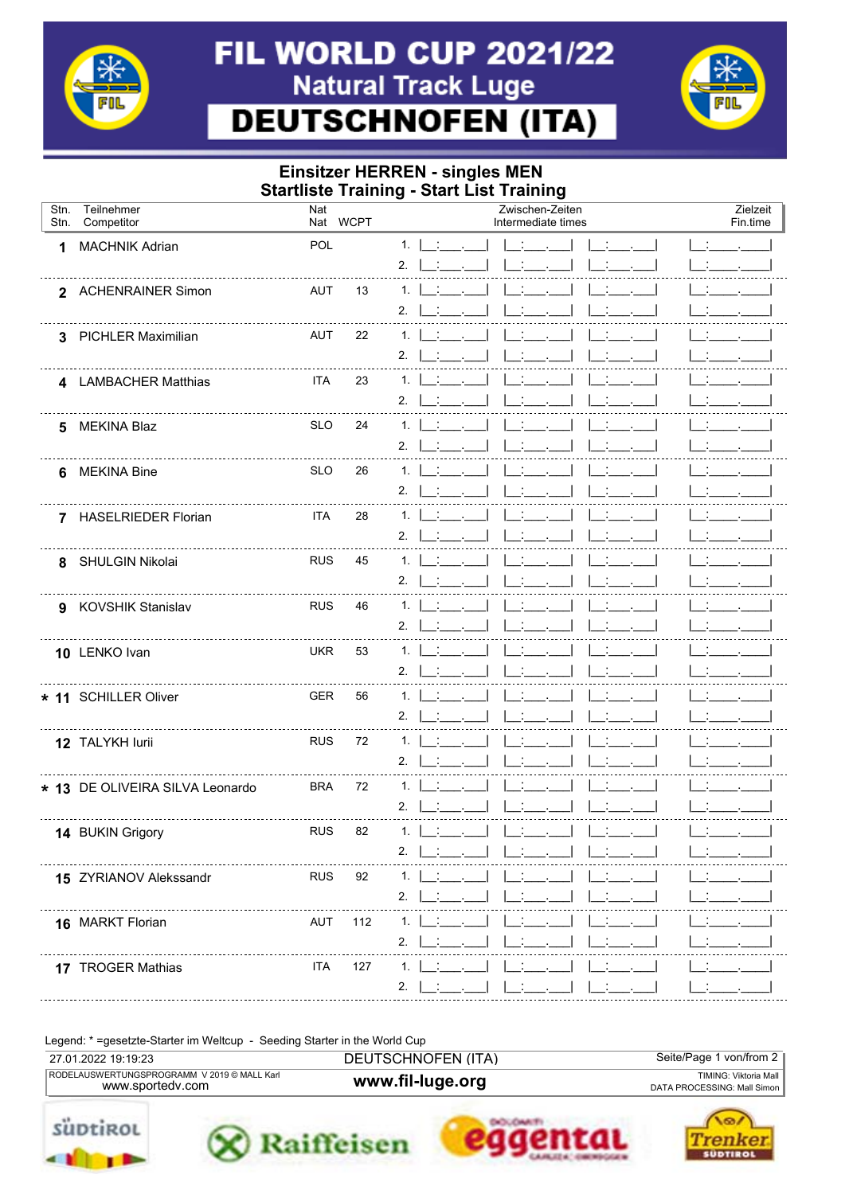

## **FIL WORLD CUP 2021/22 Natural Track Luge DEUTSCHNOFEN (ITA)**



## **Einsitzer HERREN - singles MEN Startliste Training - Start List Training**

| Stn.<br>Stn. | Teilnehmer<br>Competitor        | Nat        | Nat WCPT | Zwischen-Zeiten<br>Zielzeit<br>Intermediate times<br>Fin.time |  |  |
|--------------|---------------------------------|------------|----------|---------------------------------------------------------------|--|--|
| 1            | <b>MACHNIK Adrian</b>           | POL        |          | 1.                                                            |  |  |
|              |                                 |            |          | 2.                                                            |  |  |
|              | 2 ACHENRAINER Simon             | AUT        | 13       | 1.                                                            |  |  |
|              |                                 |            |          | 2.                                                            |  |  |
|              | 3 PICHLER Maximilian            | AUT        | 22       | 1.<br>2.                                                      |  |  |
|              |                                 | <b>ITA</b> | 23       | 1.                                                            |  |  |
|              | 4 LAMBACHER Matthias            |            |          | 2.                                                            |  |  |
| 5            | <b>MEKINA Blaz</b>              | <b>SLO</b> | 24       | 1.                                                            |  |  |
|              |                                 |            |          | 2.                                                            |  |  |
| 6            | <b>MEKINA Bine</b>              | <b>SLO</b> | 26       | 1.                                                            |  |  |
|              |                                 |            |          | 2.                                                            |  |  |
|              | 7 HASELRIEDER Florian           | <b>ITA</b> | 28       | 1.                                                            |  |  |
|              |                                 |            |          | 2.                                                            |  |  |
|              | 8 SHULGIN Nikolai               | <b>RUS</b> | 45       | 1.<br>2.                                                      |  |  |
|              | 9 KOVSHIK Stanislav             | <b>RUS</b> | 46       | 1.                                                            |  |  |
|              |                                 |            |          | 2.                                                            |  |  |
|              | 10 LENKO Ivan                   | <b>UKR</b> | 53       | 1.                                                            |  |  |
|              |                                 |            |          | 2.                                                            |  |  |
|              | * 11 SCHILLER Oliver            | <b>GER</b> | 56       | 1.                                                            |  |  |
|              |                                 |            |          | 2.                                                            |  |  |
|              | 12 TALYKH lurii                 | <b>RUS</b> | 72       | 1.                                                            |  |  |
|              |                                 |            |          | 2.                                                            |  |  |
|              | * 13 DE OLIVEIRA SILVA Leonardo | <b>BRA</b> | 72       | 1.<br>2.                                                      |  |  |
|              |                                 | <b>RUS</b> | 82       | 1.                                                            |  |  |
|              | 14 BUKIN Grigory                |            |          | 2.                                                            |  |  |
|              | 15 ZYRIANOV Alekssandr          | <b>RUS</b> | 92       | 1.                                                            |  |  |
|              |                                 |            |          | 2.                                                            |  |  |
|              | 16 MARKT Florian                | AUT        | 112      | 1.                                                            |  |  |
|              |                                 |            |          | 2.                                                            |  |  |
|              | 17 TROGER Mathias               | <b>ITA</b> | 127      | 1.                                                            |  |  |
|              |                                 |            |          | 2.                                                            |  |  |

Legend: \* = gesetzte-Starter im Weltcup - Seeding Starter in the World Cup

| 27.01.2022 19:19:23                                             | DEUTSCHNOFEN (ITA) | Seite/Page 1 von/from 2                              |
|-----------------------------------------------------------------|--------------------|------------------------------------------------------|
| RODELAUSWERTUNGSPROGRAMM V 2019 © MALL Karl<br>www.sportedv.com | www.fil-luge.org   | TIMING: Viktoria Mall<br>DATA PROCESSING: Mall Simon |
|                                                                 |                    |                                                      |